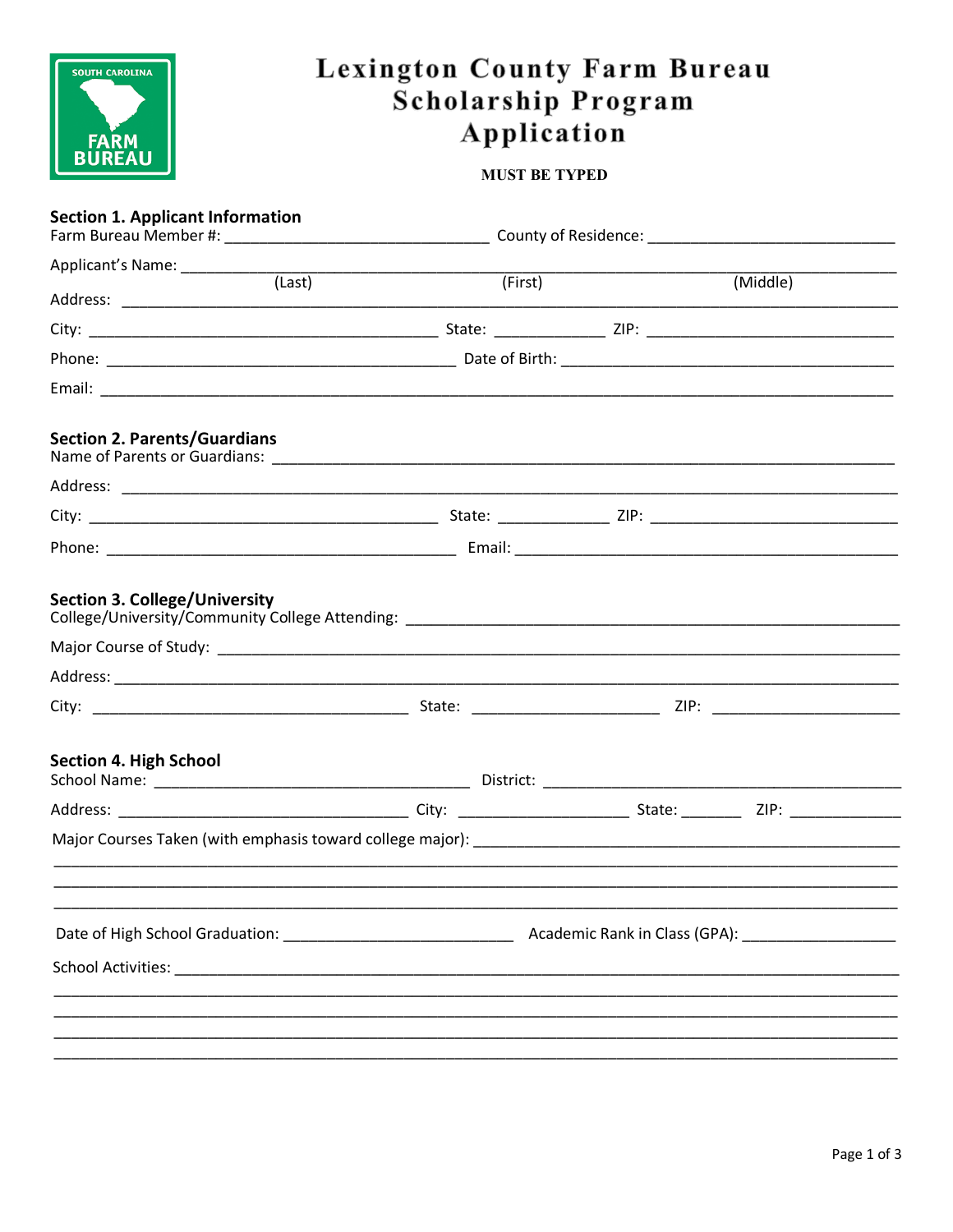

# Lexington County Farm Bureau<br>Scholarship Program Application

#### **MUST BE TYPED**

## Section 1. Applicant Information

| Applicant's Name: __________         |         |          |  |  |  |
|--------------------------------------|---------|----------|--|--|--|
| (Last)                               | (First) | (Middle) |  |  |  |
|                                      |         |          |  |  |  |
|                                      |         |          |  |  |  |
|                                      |         |          |  |  |  |
| <b>Section 2. Parents/Guardians</b>  |         |          |  |  |  |
|                                      |         |          |  |  |  |
|                                      |         |          |  |  |  |
|                                      |         |          |  |  |  |
| <b>Section 3. College/University</b> |         |          |  |  |  |
|                                      |         |          |  |  |  |
|                                      |         |          |  |  |  |
| <b>Section 4. High School</b>        |         |          |  |  |  |
|                                      |         |          |  |  |  |
|                                      |         |          |  |  |  |
|                                      |         |          |  |  |  |
|                                      |         |          |  |  |  |
|                                      |         |          |  |  |  |
|                                      |         |          |  |  |  |
|                                      |         |          |  |  |  |
|                                      |         |          |  |  |  |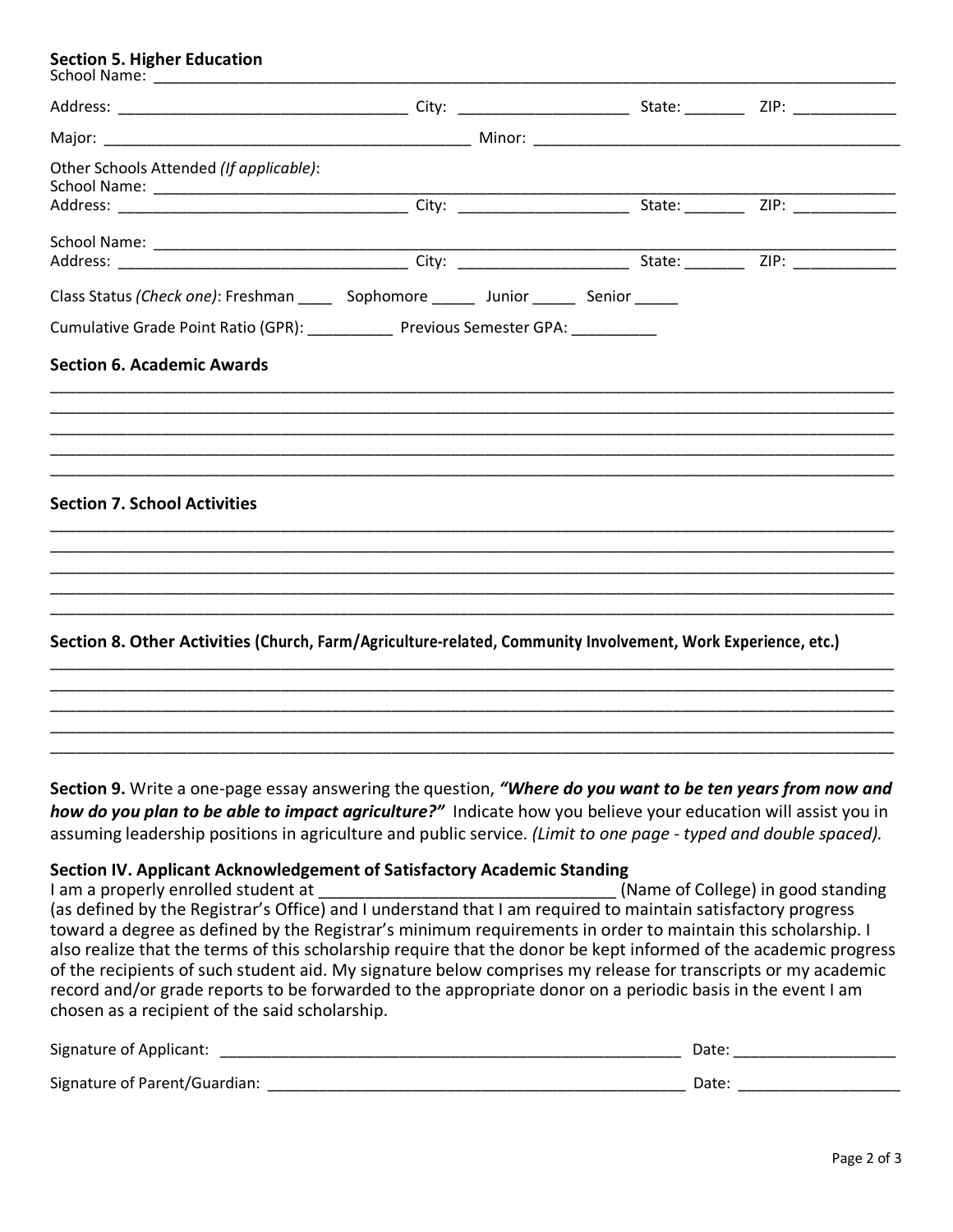### **Section 5. Higher Education**

| Other Schools Attended (If applicable):                                                                                                                                                                                                                                                                                                                                                                                                                           |  |                                    |
|-------------------------------------------------------------------------------------------------------------------------------------------------------------------------------------------------------------------------------------------------------------------------------------------------------------------------------------------------------------------------------------------------------------------------------------------------------------------|--|------------------------------------|
|                                                                                                                                                                                                                                                                                                                                                                                                                                                                   |  |                                    |
|                                                                                                                                                                                                                                                                                                                                                                                                                                                                   |  |                                    |
| Class Status (Check one): Freshman _______ Sophomore _______ Junior _______ Senior _____                                                                                                                                                                                                                                                                                                                                                                          |  |                                    |
| Cumulative Grade Point Ratio (GPR): _____________ Previous Semester GPA: ________                                                                                                                                                                                                                                                                                                                                                                                 |  |                                    |
| <b>Section 6. Academic Awards</b>                                                                                                                                                                                                                                                                                                                                                                                                                                 |  |                                    |
|                                                                                                                                                                                                                                                                                                                                                                                                                                                                   |  |                                    |
|                                                                                                                                                                                                                                                                                                                                                                                                                                                                   |  |                                    |
|                                                                                                                                                                                                                                                                                                                                                                                                                                                                   |  |                                    |
| <b>Section 7. School Activities</b>                                                                                                                                                                                                                                                                                                                                                                                                                               |  |                                    |
| Section 8. Other Activities (Church, Farm/Agriculture-related, Community Involvement, Work Experience, etc.)                                                                                                                                                                                                                                                                                                                                                      |  |                                    |
| Section 9. Write a one-page essay answering the question, "Where do you want to be ten years from now and<br>how do you plan to be able to impact agriculture?" Indicate how you believe your education will assist you in<br>assuming leadership positions in agriculture and public service. (Limit to one page - typed and double spaced).                                                                                                                     |  |                                    |
| Section IV. Applicant Acknowledgement of Satisfactory Academic Standing<br>I am a properly enrolled student at<br>(as defined by the Registrar's Office) and I understand that I am required to maintain satisfactory progress<br>toward a degree as defined by the Registrar's minimum requirements in order to maintain this scholarship. I<br>also realize that the terms of this scholarship require that the donor be kept informed of the academic progress |  | (Name of College) in good standing |

of the recipients of such student aid. My signature below comprises my release for transcripts or my academic record and/or grade reports to be forwarded to the appropriate donor on a periodic basis in the event I am chosen as a recipient of the said scholarship.

| Signature of Applicant:       | Date |
|-------------------------------|------|
| Signature of Parent/Guardian: | Date |